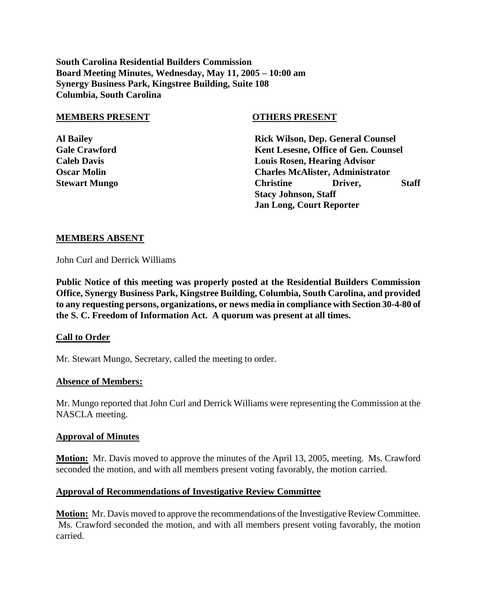**South Carolina Residential Builders Commission Board Meeting Minutes, Wednesday, May 11, 2005 – 10:00 am Synergy Business Park, Kingstree Building, Suite 108 Columbia, South Carolina**

#### **MEMBERS PRESENT OTHERS PRESENT**

**Jan Long, Court Reporter**

| <b>Al Bailey</b>     | <b>Rick Wilson, Dep. General Counsel</b> |         |              |  |
|----------------------|------------------------------------------|---------|--------------|--|
| <b>Gale Crawford</b> | Kent Lesesne, Office of Gen. Counsel     |         |              |  |
| <b>Caleb Davis</b>   | <b>Louis Rosen, Hearing Advisor</b>      |         |              |  |
| <b>Oscar Molin</b>   | <b>Charles McAlister, Administrator</b>  |         |              |  |
| <b>Stewart Mungo</b> | <b>Christine</b>                         | Driver. | <b>Staff</b> |  |
|                      | <b>Stacy Johnson, Staff</b>              |         |              |  |

# **MEMBERS ABSENT**

John Curl and Derrick Williams

**Public Notice of this meeting was properly posted at the Residential Builders Commission Office, Synergy Business Park, Kingstree Building, Columbia, South Carolina, and provided to any requesting persons, organizations, or news media in compliance with Section 30-4-80 of the S. C. Freedom of Information Act. A quorum was present at all times.**

# **Call to Order**

Mr. Stewart Mungo, Secretary, called the meeting to order.

# **Absence of Members:**

Mr. Mungo reported that John Curl and Derrick Williams were representing the Commission at the NASCLA meeting.

# **Approval of Minutes**

**Motion:** Mr. Davis moved to approve the minutes of the April 13, 2005, meeting. Ms. Crawford seconded the motion, and with all members present voting favorably, the motion carried.

# **Approval of Recommendations of Investigative Review Committee**

**Motion:** Mr. Davis moved to approve the recommendations of the Investigative Review Committee. Ms. Crawford seconded the motion, and with all members present voting favorably, the motion carried.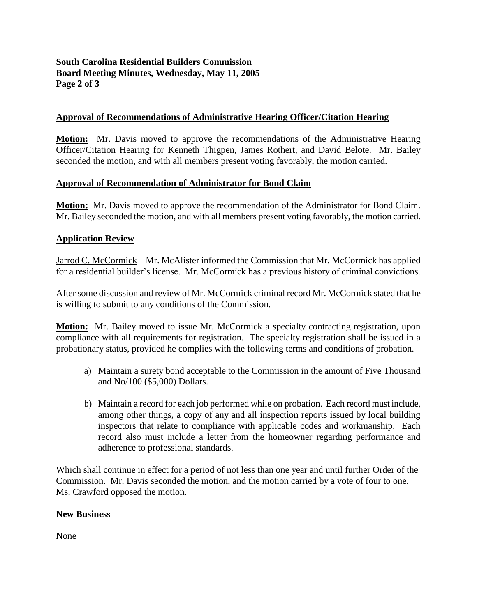# **South Carolina Residential Builders Commission Board Meeting Minutes, Wednesday, May 11, 2005 Page 2 of 3**

# **Approval of Recommendations of Administrative Hearing Officer/Citation Hearing**

**Motion:** Mr. Davis moved to approve the recommendations of the Administrative Hearing Officer/Citation Hearing for Kenneth Thigpen, James Rothert, and David Belote. Mr. Bailey seconded the motion, and with all members present voting favorably, the motion carried.

# **Approval of Recommendation of Administrator for Bond Claim**

**Motion:** Mr. Davis moved to approve the recommendation of the Administrator for Bond Claim. Mr. Bailey seconded the motion, and with all members present voting favorably, the motion carried.

# **Application Review**

Jarrod C. McCormick – Mr. McAlister informed the Commission that Mr. McCormick has applied for a residential builder's license. Mr. McCormick has a previous history of criminal convictions.

After some discussion and review of Mr. McCormick criminal record Mr. McCormick stated that he is willing to submit to any conditions of the Commission.

**Motion:** Mr. Bailey moved to issue Mr. McCormick a specialty contracting registration, upon compliance with all requirements for registration. The specialty registration shall be issued in a probationary status, provided he complies with the following terms and conditions of probation.

- a) Maintain a surety bond acceptable to the Commission in the amount of Five Thousand and No/100 (\$5,000) Dollars.
- b) Maintain a record for each job performed while on probation. Each record must include, among other things, a copy of any and all inspection reports issued by local building inspectors that relate to compliance with applicable codes and workmanship. Each record also must include a letter from the homeowner regarding performance and adherence to professional standards.

Which shall continue in effect for a period of not less than one year and until further Order of the Commission. Mr. Davis seconded the motion, and the motion carried by a vote of four to one. Ms. Crawford opposed the motion.

# **New Business**

None